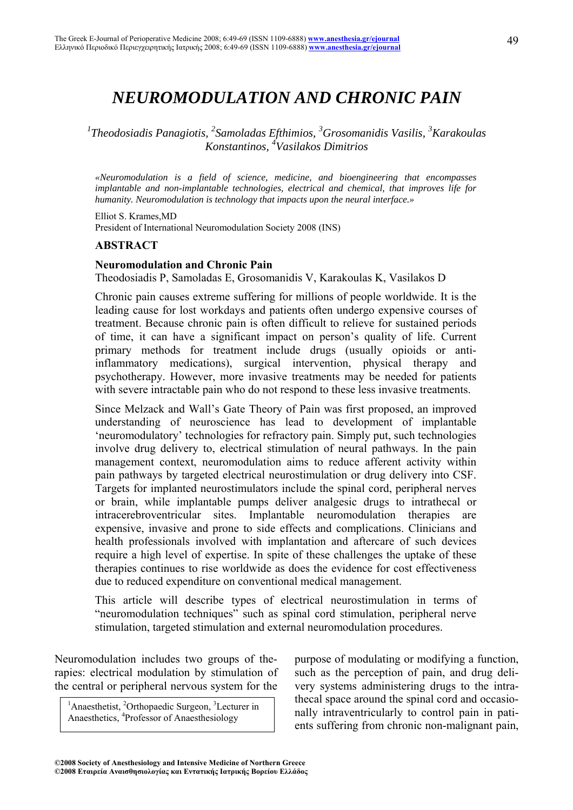# *NEUROMODULATION AND CHRONIC PAIN*

<sup>1</sup>Theodosiadis Panagiotis, <sup>2</sup>Samoladas Efthimios, <sup>3</sup>Grosomanidis Vasilis, <sup>3</sup>Karakoulas *Konstantinos, 4 Vasilakos Dimitrios* 

*«Neuromodulation is a field of science, medicine, and bioengineering that encompasses implantable and non-implantable technologies, electrical and chemical, that improves life for humanity. Neuromodulation is technology that impacts upon the neural interface.»* 

Elliot S. Krames,MD President of International Neuromodulation Society 2008 (INS)

#### **ABSTRACT**

#### **Neuromodulation and Chronic Pain**

Theodosiadis P, Samoladas E, Grosomanidis V, Karakoulas K, Vasilakos D

Chronic pain causes extreme suffering for millions of people worldwide. It is the leading cause for lost workdays and patients often undergo expensive courses of treatment. Because chronic pain is often difficult to relieve for sustained periods of time, it can have a significant impact on person's quality of life. Current primary methods for treatment include drugs (usually opioids or antiinflammatory medications), surgical intervention, physical therapy and psychotherapy. However, more invasive treatments may be needed for patients with severe intractable pain who do not respond to these less invasive treatments.

Since Melzack and Wall's Gate Theory of Pain was first proposed, an improved understanding of neuroscience has lead to development of implantable 'neuromodulatory' technologies for refractory pain. Simply put, such technologies involve drug delivery to, electrical stimulation of neural pathways. In the pain management context, neuromodulation aims to reduce afferent activity within pain pathways by targeted electrical neurostimulation or drug delivery into CSF. Targets for implanted neurostimulators include the spinal cord, peripheral nerves or brain, while implantable pumps deliver analgesic drugs to intrathecal or intracerebroventricular sites. Implantable neuromodulation therapies are expensive, invasive and prone to side effects and complications. Clinicians and health professionals involved with implantation and aftercare of such devices require a high level of expertise. In spite of these challenges the uptake of these therapies continues to rise worldwide as does the evidence for cost effectiveness due to reduced expenditure on conventional medical management.

This article will describe types of electrical neurostimulation in terms of "neuromodulation techniques" such as spinal cord stimulation, peripheral nerve stimulation, targeted stimulation and external neuromodulation procedures.

Neuromodulation includes two groups of therapies: electrical modulation by stimulation of the central or peripheral nervous system for the

<sup>1</sup>Anaesthetist, <sup>2</sup>Orthopaedic Surgeon, <sup>3</sup>Lecturer in Anaesthetics, <sup>4</sup>Professor of Anaesthesiology

purpose of modulating or modifying a function, such as the perception of pain, and drug delivery systems administering drugs to the intrathecal space around the spinal cord and occasionally intraventricularly to control pain in patients suffering from chronic non-malignant pain,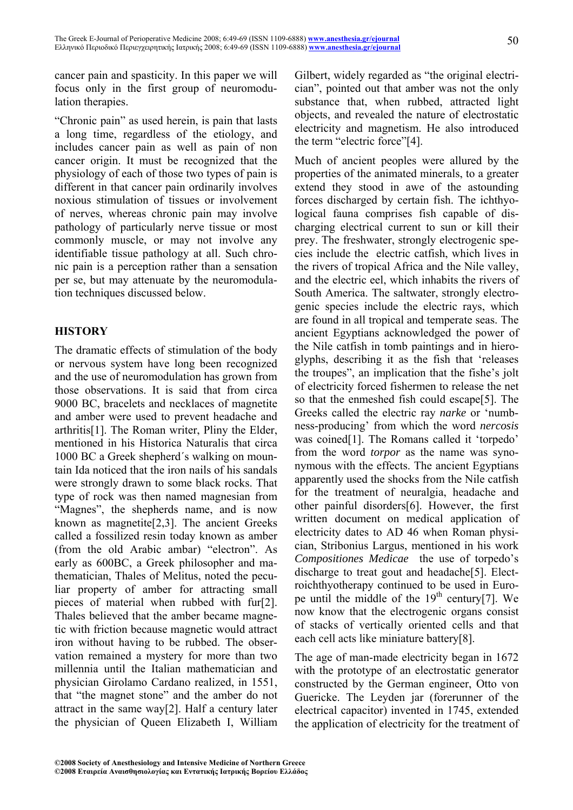cancer pain and spasticity. In this paper we will focus only in the first group of neuromodulation therapies.

"Chronic pain" as used herein, is pain that lasts a long time, regardless of the etiology, and includes cancer pain as well as pain of non cancer origin. It must be recognized that the physiology of each of those two types of pain is different in that cancer pain ordinarily involves noxious stimulation of tissues or involvement of nerves, whereas chronic pain may involve pathology of particularly nerve tissue or most commonly muscle, or may not involve any identifiable tissue pathology at all. Such chronic pain is a perception rather than a sensation per se, but may attenuate by the neuromodulation techniques discussed below.

#### **HISTORY**

The dramatic effects of stimulation of the body or nervous system have long been recognized and the use of neuromodulation has grown from those observations. It is said that from circa 9000 BC, bracelets and necklaces of magnetite and amber were used to prevent headache and arthritis[1]. The Roman writer, Pliny the Elder, mentioned in his Historica Naturalis that circa 1000 BC a Greek shepherd´s walking on mountain Ida noticed that the iron nails of his sandals were strongly drawn to some black rocks. That type of rock was then named magnesian from "Magnes", the shepherds name, and is now known as magnetite[2,3]. The ancient Greeks called a fossilized resin today known as amber (from the old Arabic ambar) "electron". As early as 600BC, a Greek philosopher and mathematician, Thales of Melitus, noted the peculiar property of amber for attracting small pieces of material when rubbed with fur[2]. Thales believed that the amber became magnetic with friction because magnetic would attract iron without having to be rubbed. The observation remained a mystery for more than two millennia until the Italian mathematician and physician Girolamo Cardano realized, in 1551, that "the magnet stone" and the amber do not attract in the same way[2]. Half a century later the physician of Queen Elizabeth I, William Gilbert, widely regarded as "the original electrician", pointed out that amber was not the only substance that, when rubbed, attracted light objects, and revealed the nature of electrostatic electricity and magnetism. He also introduced the term "electric force"[4].

Much of ancient peoples were allured by the properties of the animated minerals, to a greater extend they stood in awe of the astounding forces discharged by certain fish. The ichthyological fauna comprises fish capable of discharging electrical current to sun or kill their prey. The freshwater, strongly electrogenic species include the electric catfish, which lives in the rivers of tropical Africa and the Nile valley, and the electric eel, which inhabits the rivers of South America. The saltwater, strongly electrogenic species include the electric rays, which are found in all tropical and temperate seas. The ancient Egyptians acknowledged the power of the Nile catfish in tomb paintings and in hieroglyphs, describing it as the fish that 'releases the troupes", an implication that the fishe's jolt of electricity forced fishermen to release the net so that the enmeshed fish could escape[5]. The Greeks called the electric ray *narke* or 'numbness-producing' from which the word *nercosis* was coined[1]. The Romans called it 'torpedo' from the word *torpor* as the name was synonymous with the effects. The ancient Egyptians apparently used the shocks from the Nile catfish for the treatment of neuralgia, headache and other painful disorders[6]. However, the first written document on medical application of electricity dates to AD 46 when Roman physician, Stribonius Largus, mentioned in his work *Compositiones Medicae* the use of torpedo's discharge to treat gout and headache[5]. Electroichthyotherapy continued to be used in Europe until the middle of the  $19<sup>th</sup>$  century[7]. We now know that the electrogenic organs consist of stacks of vertically oriented cells and that each cell acts like miniature battery[8].

The age of man-made electricity began in 1672 with the prototype of an electrostatic generator constructed by the German engineer, Otto von Guericke. The Leyden jar (forerunner of the electrical capacitor) invented in 1745, extended the application of electricity for the treatment of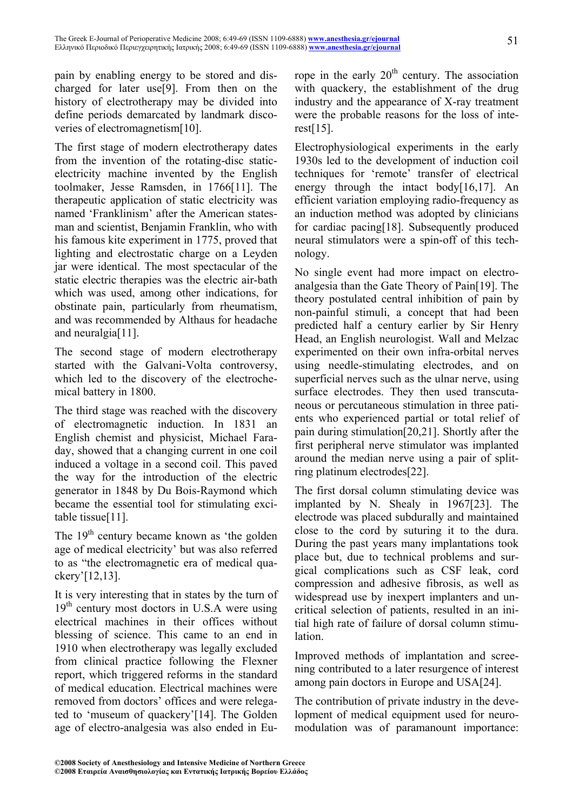pain by enabling energy to be stored and discharged for later use[9]. From then on the history of electrotherapy may be divided into define periods demarcated by landmark discoveries of electromagnetism[10].

The first stage of modern electrotherapy dates from the invention of the rotating-disc staticelectricity machine invented by the English toolmaker, Jesse Ramsden, in 1766[11]. The therapeutic application of static electricity was named 'Franklinism' after the American statesman and scientist, Benjamin Franklin, who with his famous kite experiment in 1775, proved that lighting and electrostatic charge on a Leyden jar were identical. The most spectacular of the static electric therapies was the electric air-bath which was used, among other indications, for obstinate pain, particularly from rheumatism, and was recommended by Althaus for headache and neuralgia[11].

The second stage of modern electrotherapy started with the Galvani-Volta controversy, which led to the discovery of the electrochemical battery in 1800.

The third stage was reached with the discovery of electromagnetic induction. In 1831 an English chemist and physicist, Michael Faraday, showed that a changing current in one coil induced a voltage in a second coil. This paved the way for the introduction of the electric generator in 1848 by Du Bois-Raymond which became the essential tool for stimulating excitable tissue[11].

The 19<sup>th</sup> century became known as 'the golden age of medical electricity' but was also referred to as "the electromagnetic era of medical quackery'[12,13].

It is very interesting that in states by the turn of  $19<sup>th</sup>$  century most doctors in U.S.A were using electrical machines in their offices without blessing of science. This came to an end in 1910 when electrotherapy was legally excluded from clinical practice following the Flexner report, which triggered reforms in the standard of medical education. Electrical machines were removed from doctors' offices and were relegated to 'museum of quackery'[14]. The Golden age of electro-analgesia was also ended in Europe in the early  $20<sup>th</sup>$  century. The association with quackery, the establishment of the drug industry and the appearance of X-ray treatment were the probable reasons for the loss of interest[15].

Electrophysiological experiments in the early 1930s led to the development of induction coil techniques for 'remote' transfer of electrical energy through the intact body[16,17]. An efficient variation employing radio-frequency as an induction method was adopted by clinicians for cardiac pacing[18]. Subsequently produced neural stimulators were a spin-off of this technology.

No single event had more impact on electroanalgesia than the Gate Theory of Pain[19]. The theory postulated central inhibition of pain by non-painful stimuli, a concept that had been predicted half a century earlier by Sir Henry Head, an English neurologist. Wall and Melzac experimented on their own infra-orbital nerves using needle-stimulating electrodes, and on superficial nerves such as the ulnar nerve, using surface electrodes. They then used transcutaneous or percutaneous stimulation in three patients who experienced partial or total relief of pain during stimulation[20,21]. Shortly after the first peripheral nerve stimulator was implanted around the median nerve using a pair of splitring platinum electrodes[22].

The first dorsal column stimulating device was implanted by N. Shealy in 1967[23]. The electrode was placed subdurally and maintained close to the cord by suturing it to the dura. During the past years many implantations took place but, due to technical problems and surgical complications such as CSF leak, cord compression and adhesive fibrosis, as well as widespread use by inexpert implanters and uncritical selection of patients, resulted in an initial high rate of failure of dorsal column stimulation.

Improved methods of implantation and screening contributed to a later resurgence of interest among pain doctors in Europe and USA[24].

The contribution of private industry in the development of medical equipment used for neuromodulation was of paramanount importance: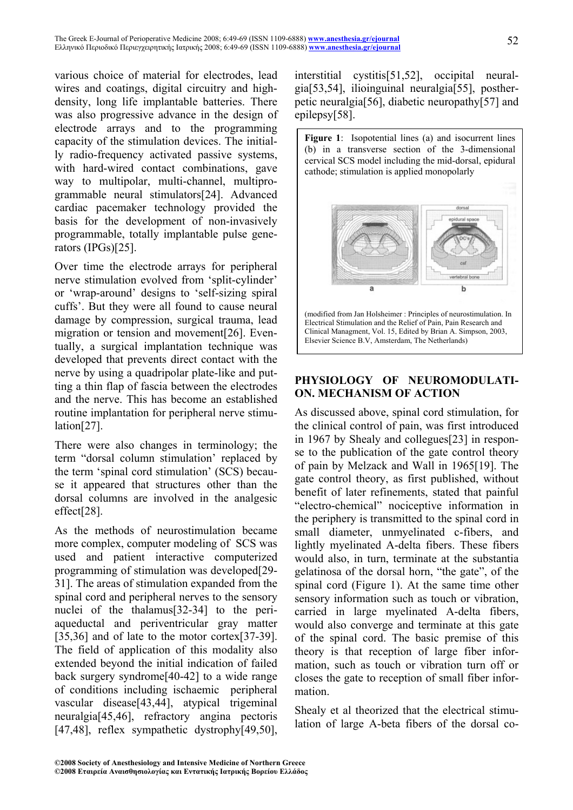various choice of material for electrodes, lead wires and coatings, digital circuitry and highdensity, long life implantable batteries. There was also progressive advance in the design of electrode arrays and to the programming capacity of the stimulation devices. The initially radio-frequency activated passive systems, with hard-wired contact combinations, gave way to multipolar, multi-channel, multiprogrammable neural stimulators[24]. Advanced cardiac pacemaker technology provided the basis for the development of non-invasively programmable, totally implantable pulse generators (IPGs)[25].

Over time the electrode arrays for peripheral nerve stimulation evolved from 'split-cylinder' or 'wrap-around' designs to 'self-sizing spiral cuffs'. But they were all found to cause neural damage by compression, surgical trauma, lead migration or tension and movement[26]. Eventually, a surgical implantation technique was developed that prevents direct contact with the nerve by using a quadripolar plate-like and putting a thin flap of fascia between the electrodes and the nerve. This has become an established routine implantation for peripheral nerve stimulation[27].

There were also changes in terminology; the term "dorsal column stimulation' replaced by the term 'spinal cord stimulation' (SCS) because it appeared that structures other than the dorsal columns are involved in the analgesic effect[28].

As the methods of neurostimulation became more complex, computer modeling of SCS was used and patient interactive computerized programming of stimulation was developed[29- 31]. The areas of stimulation expanded from the spinal cord and peripheral nerves to the sensory nuclei of the thalamus[32-34] to the periaqueductal and periventricular gray matter [35,36] and of late to the motor cortex[37-39]. The field of application of this modality also extended beyond the initial indication of failed back surgery syndrome[40-42] to a wide range of conditions including ischaemic peripheral vascular disease[43,44], atypical trigeminal neuralgia[45,46], refractory angina pectoris [47,48], reflex sympathetic dystrophy[49,50], interstitial cystitis[51,52], occipital neuralgia[53,54], ilioinguinal neuralgia[55], postherpetic neuralgia[56], diabetic neuropathy[57] and epilepsy[58].

Figure 1: Isopotential lines (a) and isocurrent lines (b) in a transverse section of the 3-dimensional cervical SCS model including the mid-dorsal, epidural cathode; stimulation is applied monopolarly



### **PHYSIOLOGY OF NEUROMODULATI-ON. MECHANISM OF ACTION**

As discussed above, spinal cord stimulation, for the clinical control of pain, was first introduced in 1967 by Shealy and collegues[23] in response to the publication of the gate control theory of pain by Melzack and Wall in 1965[19]. The gate control theory, as first published, without benefit of later refinements, stated that painful "electro-chemical" nociceptive information in the periphery is transmitted to the spinal cord in small diameter, unmyelinated c-fibers, and lightly myelinated A-delta fibers. These fibers would also, in turn, terminate at the substantia gelatinosa of the dorsal horn, "the gate", of the spinal cord (Figure 1). At the same time other sensory information such as touch or vibration, carried in large myelinated A-delta fibers, would also converge and terminate at this gate of the spinal cord. The basic premise of this theory is that reception of large fiber information, such as touch or vibration turn off or closes the gate to reception of small fiber information.

Shealy et al theorized that the electrical stimulation of large A-beta fibers of the dorsal co-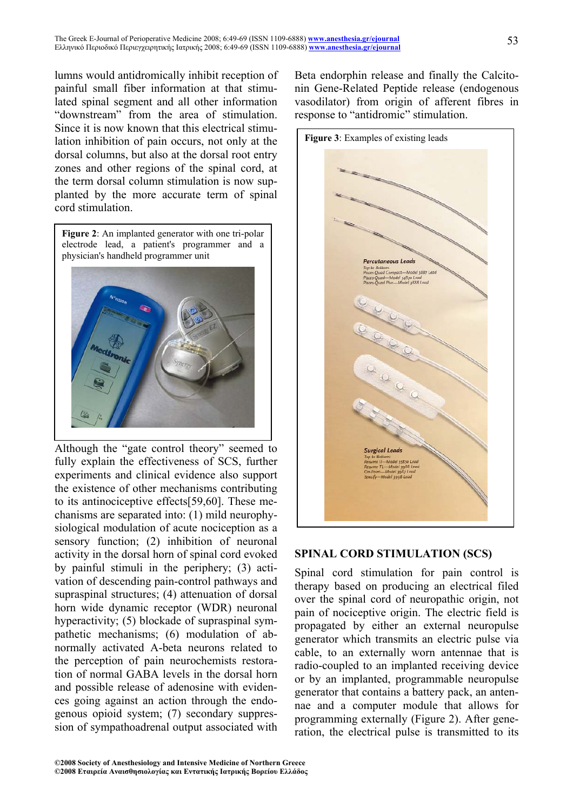lumns would antidromically inhibit reception of painful small fiber information at that stimulated spinal segment and all other information "downstream" from the area of stimulation. Since it is now known that this electrical stimulation inhibition of pain occurs, not only at the dorsal columns, but also at the dorsal root entry zones and other regions of the spinal cord, at the term dorsal column stimulation is now supplanted by the more accurate term of spinal cord stimulation.

**Figure 2**: An implanted generator with one tri-polar electrode lead, a patient's programmer and a physician's handheld programmer unit

Although the "gate control theory" seemed to fully explain the effectiveness of SCS, further experiments and clinical evidence also support the existence of other mechanisms contributing to its antinociceptive effects[59,60]. These mechanisms are separated into: (1) mild neurophysiological modulation of acute nociception as a sensory function; (2) inhibition of neuronal activity in the dorsal horn of spinal cord evoked by painful stimuli in the periphery; (3) activation of descending pain-control pathways and supraspinal structures; (4) attenuation of dorsal horn wide dynamic receptor (WDR) neuronal hyperactivity; (5) blockade of supraspinal sympathetic mechanisms; (6) modulation of abnormally activated A-beta neurons related to the perception of pain neurochemists restoration of normal GABA levels in the dorsal horn and possible release of adenosine with evidences going against an action through the endogenous opioid system; (7) secondary suppression of sympathoadrenal output associated with Beta endorphin release and finally the Calcitonin Gene-Related Peptide release (endogenous vasodilator) from origin of afferent fibres in response to "antidromic" stimulation.



#### **SPINAL CORD STIMULATION (SCS)**

Spinal cord stimulation for pain control is therapy based on producing an electrical filed over the spinal cord of neuropathic origin, not pain of nociceptive origin. The electric field is propagated by either an external neuropulse generator which transmits an electric pulse via cable, to an externally worn antennae that is radio-coupled to an implanted receiving device or by an implanted, programmable neuropulse generator that contains a battery pack, an antennae and a computer module that allows for programming externally (Figure 2). After generation, the electrical pulse is transmitted to its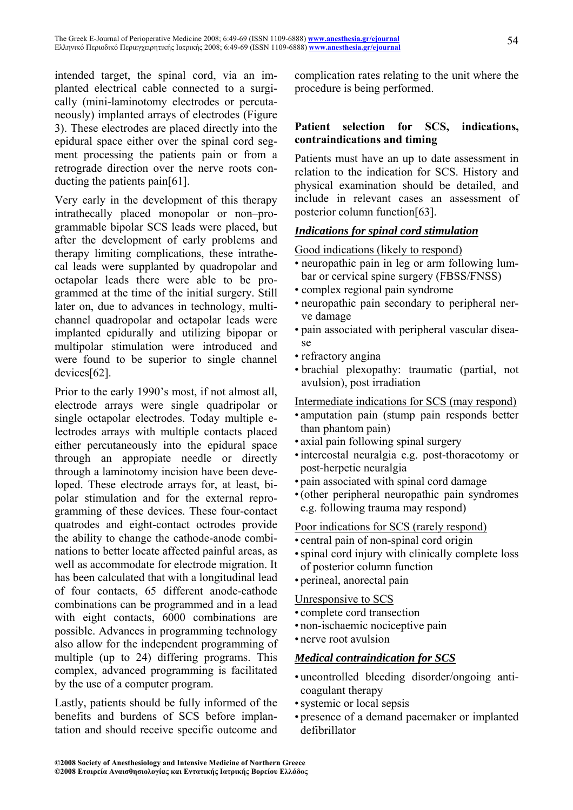intended target, the spinal cord, via an implanted electrical cable connected to a surgically (mini-laminotomy electrodes or percutaneously) implanted arrays of electrodes (Figure 3). These electrodes are placed directly into the epidural space either over the spinal cord segment processing the patients pain or from a retrograde direction over the nerve roots conducting the patients pain[61].

Very early in the development of this therapy intrathecally placed monopolar or non–programmable bipolar SCS leads were placed, but after the development of early problems and therapy limiting complications, these intrathecal leads were supplanted by quadropolar and octapolar leads there were able to be programmed at the time of the initial surgery. Still later on, due to advances in technology, multichannel quadropolar and octapolar leads were implanted epidurally and utilizing bipopar or multipolar stimulation were introduced and were found to be superior to single channel devices[62].

Prior to the early 1990's most, if not almost all, electrode arrays were single quadripolar or single octapolar electrodes. Today multiple electrodes arrays with multiple contacts placed either percutaneously into the epidural space through an appropiate needle or directly through a laminotomy incision have been developed. These electrode arrays for, at least, bipolar stimulation and for the external reprogramming of these devices. These four-contact quatrodes and eight-contact octrodes provide the ability to change the cathode-anode combinations to better locate affected painful areas, as well as accommodate for electrode migration. It has been calculated that with a longitudinal lead of four contacts, 65 different anode-cathode combinations can be programmed and in a lead with eight contacts, 6000 combinations are possible. Advances in programming technology also allow for the independent programming of multiple (up to 24) differing programs. This complex, advanced programming is facilitated by the use of a computer program.

Lastly, patients should be fully informed of the benefits and burdens of SCS before implantation and should receive specific outcome and complication rates relating to the unit where the procedure is being performed.

#### **Patient selection for SCS, indications, contraindications and timing**

Patients must have an up to date assessment in relation to the indication for SCS. History and physical examination should be detailed, and include in relevant cases an assessment of posterior column function[63].

#### *Indications for spinal cord stimulation*

Good indications (likely to respond)

- neuropathic pain in leg or arm following lumbar or cervical spine surgery (FBSS/FNSS)
- complex regional pain syndrome
- neuropathic pain secondary to peripheral nerve damage
- pain associated with peripheral vascular disease
- refractory angina
- brachial plexopathy: traumatic (partial, not avulsion), post irradiation

Intermediate indications for SCS (may respond)

- amputation pain (stump pain responds better than phantom pain)
- axial pain following spinal surgery
- intercostal neuralgia e.g. post-thoracotomy or post-herpetic neuralgia
- pain associated with spinal cord damage
- (other peripheral neuropathic pain syndromes e.g. following trauma may respond)

#### Poor indications for SCS (rarely respond)

- central pain of non-spinal cord origin
- spinal cord injury with clinically complete loss of posterior column function
- perineal, anorectal pain

#### Unresponsive to SCS

- complete cord transection
- non-ischaemic nociceptive pain
- nerve root avulsion

#### *Medical contraindication for SCS*

- uncontrolled bleeding disorder/ongoing anticoagulant therapy
- systemic or local sepsis
- presence of a demand pacemaker or implanted defibrillator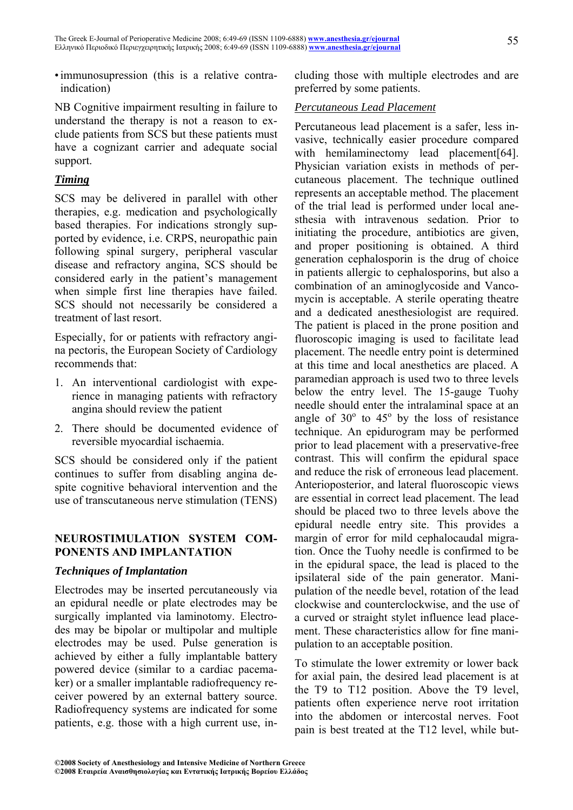• immunosupression (this is a relative contraindication)

NB Cognitive impairment resulting in failure to understand the therapy is not a reason to exclude patients from SCS but these patients must have a cognizant carrier and adequate social support.

### *Timing*

SCS may be delivered in parallel with other therapies, e.g. medication and psychologically based therapies. For indications strongly supported by evidence, i.e. CRPS, neuropathic pain following spinal surgery, peripheral vascular disease and refractory angina, SCS should be considered early in the patient's management when simple first line therapies have failed. SCS should not necessarily be considered a treatment of last resort.

Especially, for or patients with refractory angina pectoris, the European Society of Cardiology recommends that:

- 1. An interventional cardiologist with experience in managing patients with refractory angina should review the patient
- 2. There should be documented evidence of reversible myocardial ischaemia.

SCS should be considered only if the patient continues to suffer from disabling angina despite cognitive behavioral intervention and the use of transcutaneous nerve stimulation (TENS)

#### **NEUROSTIMULATION SYSTEM COM-PONENTS AND IMPLANTATION**

#### *Techniques of Implantation*

Electrodes may be inserted percutaneously via an epidural needle or plate electrodes may be surgically implanted via laminotomy. Electrodes may be bipolar or multipolar and multiple electrodes may be used. Pulse generation is achieved by either a fully implantable battery powered device (similar to a cardiac pacemaker) or a smaller implantable radiofrequency receiver powered by an external battery source. Radiofrequency systems are indicated for some patients, e.g. those with a high current use, including those with multiple electrodes and are preferred by some patients.

#### *Percutaneous Lead Placement*

Percutaneous lead placement is a safer, less invasive, technically easier procedure compared with hemilaminectomy lead placement[64]. Physician variation exists in methods of percutaneous placement. The technique outlined represents an acceptable method. The placement of the trial lead is performed under local anesthesia with intravenous sedation. Prior to initiating the procedure, antibiotics are given, and proper positioning is obtained. A third generation cephalosporin is the drug of choice in patients allergic to cephalosporins, but also a combination of an aminoglycoside and Vancomycin is acceptable. A sterile operating theatre and a dedicated anesthesiologist are required. The patient is placed in the prone position and fluoroscopic imaging is used to facilitate lead placement. The needle entry point is determined at this time and local anesthetics are placed. A paramedian approach is used two to three levels below the entry level. The 15-gauge Tuohy needle should enter the intralaminal space at an angle of  $30^{\circ}$  to  $45^{\circ}$  by the loss of resistance technique. An epidurogram may be performed prior to lead placement with a preservative-free contrast. This will confirm the epidural space and reduce the risk of erroneous lead placement. Anterioposterior, and lateral fluoroscopic views are essential in correct lead placement. The lead should be placed two to three levels above the epidural needle entry site. This provides a margin of error for mild cephalocaudal migration. Once the Tuohy needle is confirmed to be in the epidural space, the lead is placed to the ipsilateral side of the pain generator. Manipulation of the needle bevel, rotation of the lead clockwise and counterclockwise, and the use of a curved or straight stylet influence lead placement. These characteristics allow for fine manipulation to an acceptable position.

To stimulate the lower extremity or lower back for axial pain, the desired lead placement is at the T9 to T12 position. Above the T9 level, patients often experience nerve root irritation into the abdomen or intercostal nerves. Foot pain is best treated at the T12 level, while but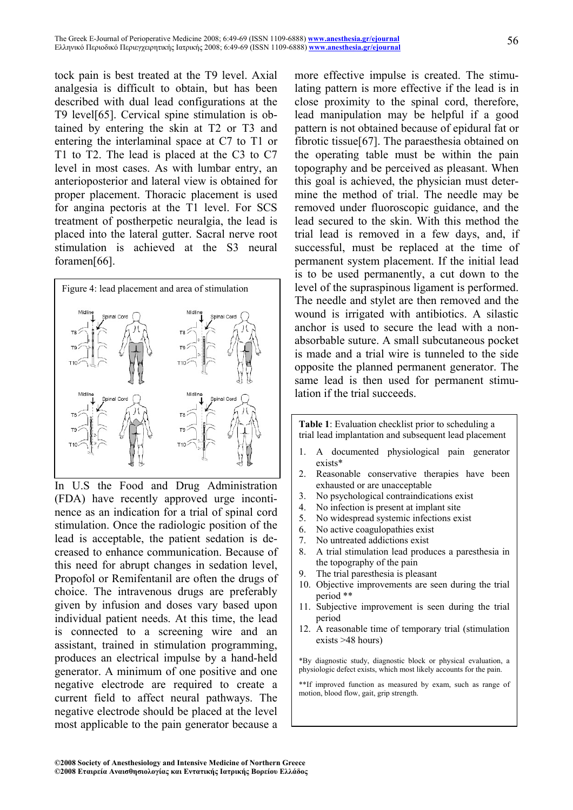tock pain is best treated at the T9 level. Axial analgesia is difficult to obtain, but has been described with dual lead configurations at the T9 level[65]. Cervical spine stimulation is obtained by entering the skin at T2 or T3 and entering the interlaminal space at C7 to T1 or T1 to T2. The lead is placed at the C3 to C7 level in most cases. As with lumbar entry, an anterioposterior and lateral view is obtained for proper placement. Thoracic placement is used for angina pectoris at the T1 level. For SCS treatment of postherpetic neuralgia, the lead is placed into the lateral gutter. Sacral nerve root stimulation is achieved at the S3 neural foramen[66].



In U.S the Food and Drug Administration (FDA) have recently approved urge incontinence as an indication for a trial of spinal cord stimulation. Once the radiologic position of the lead is acceptable, the patient sedation is decreased to enhance communication. Because of this need for abrupt changes in sedation level, Propofol or Remifentanil are often the drugs of choice. The intravenous drugs are preferably given by infusion and doses vary based upon individual patient needs. At this time, the lead is connected to a screening wire and an assistant, trained in stimulation programming, produces an electrical impulse by a hand-held generator. A minimum of one positive and one negative electrode are required to create a current field to affect neural pathways. The negative electrode should be placed at the level most applicable to the pain generator because a

more effective impulse is created. The stimulating pattern is more effective if the lead is in close proximity to the spinal cord, therefore, lead manipulation may be helpful if a good pattern is not obtained because of epidural fat or fibrotic tissue[67]. The paraesthesia obtained on the operating table must be within the pain topography and be perceived as pleasant. When this goal is achieved, the physician must determine the method of trial. The needle may be removed under fluoroscopic guidance, and the lead secured to the skin. With this method the trial lead is removed in a few days, and, if successful, must be replaced at the time of permanent system placement. If the initial lead is to be used permanently, a cut down to the level of the supraspinous ligament is performed. The needle and stylet are then removed and the wound is irrigated with antibiotics. A silastic anchor is used to secure the lead with a nonabsorbable suture. A small subcutaneous pocket is made and a trial wire is tunneled to the side opposite the planned permanent generator. The same lead is then used for permanent stimulation if the trial succeeds.

**Table 1**: Evaluation checklist prior to scheduling a trial lead implantation and subsequent lead placement

- 1. A documented physiological pain generator exists\*
- 2. Reasonable conservative therapies have been exhausted or are unacceptable
- 3. No psychological contraindications exist
- 4. No infection is present at implant site
- 5. No widespread systemic infections exist
- 6. No active coagulopathies exist
- 7. No untreated addictions exist
- 8. A trial stimulation lead produces a paresthesia in the topography of the pain
- 9. The trial paresthesia is pleasant
- 10. Objective improvements are seen during the trial period \*\*
- 11. Subjective improvement is seen during the trial period
- 12. A reasonable time of temporary trial (stimulation exists >48 hours)

\*By diagnostic study, diagnostic block or physical evaluation, a physiologic defect exists, which most likely accounts for the pain.

\*\*If improved function as measured by exam, such as range of motion, blood flow, gait, grip strength.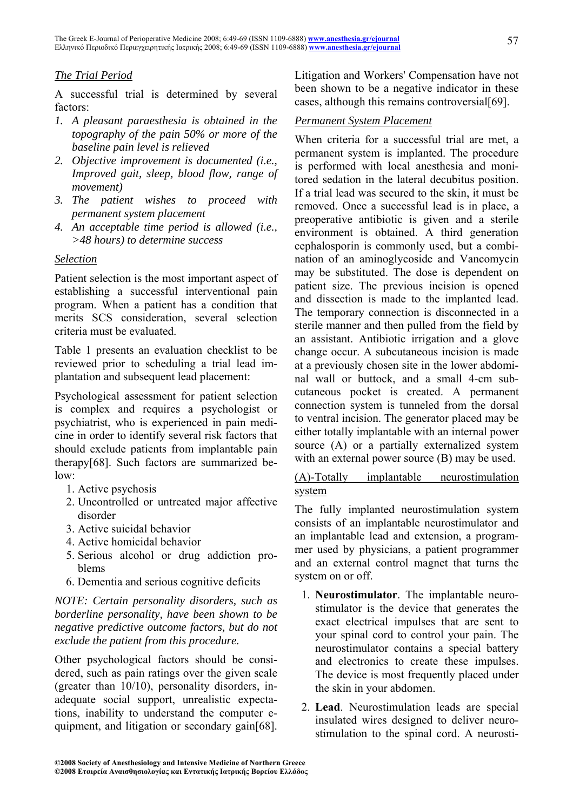#### *The Trial Period*

A successful trial is determined by several factors:

- *1. A pleasant paraesthesia is obtained in the topography of the pain 50% or more of the baseline pain level is relieved*
- *2. Objective improvement is documented (i.e., Improved gait, sleep, blood flow, range of movement)*
- *3. The patient wishes to proceed with permanent system placement*
- *4. An acceptable time period is allowed (i.e., >48 hours) to determine success*

#### *Selection*

Patient selection is the most important aspect of establishing a successful interventional pain program. When a patient has a condition that merits SCS consideration, several selection criteria must be evaluated.

Table 1 presents an evaluation checklist to be reviewed prior to scheduling a trial lead implantation and subsequent lead placement:

Psychological assessment for patient selection is complex and requires a psychologist or psychiatrist, who is experienced in pain medicine in order to identify several risk factors that should exclude patients from implantable pain therapy[68]. Such factors are summarized below:

- 1. Active psychosis
- 2. Uncontrolled or untreated major affective disorder
- 3. Active suicidal behavior
- 4. Active homicidal behavior
- 5. Serious alcohol or drug addiction problems
- 6. Dementia and serious cognitive deficits

*NOTE: Certain personality disorders, such as borderline personality, have been shown to be negative predictive outcome factors, but do not exclude the patient from this procedure.* 

Other psychological factors should be considered, such as pain ratings over the given scale (greater than 10/10), personality disorders, inadequate social support, unrealistic expectations, inability to understand the computer equipment, and litigation or secondary gain[68]. Litigation and Workers' Compensation have not been shown to be a negative indicator in these cases, although this remains controversial[69].

#### *Permanent System Placement*

When criteria for a successful trial are met, a permanent system is implanted. The procedure is performed with local anesthesia and monitored sedation in the lateral decubitus position. If a trial lead was secured to the skin, it must be removed. Once a successful lead is in place, a preoperative antibiotic is given and a sterile environment is obtained. A third generation cephalosporin is commonly used, but a combination of an aminoglycoside and Vancomycin may be substituted. The dose is dependent on patient size. The previous incision is opened and dissection is made to the implanted lead. The temporary connection is disconnected in a sterile manner and then pulled from the field by an assistant. Antibiotic irrigation and a glove change occur. A subcutaneous incision is made at a previously chosen site in the lower abdominal wall or buttock, and a small 4-cm subcutaneous pocket is created. A permanent connection system is tunneled from the dorsal to ventral incision. The generator placed may be either totally implantable with an internal power source (A) or a partially externalized system with an external power source (B) may be used.

#### (A)-Totally implantable neurostimulation system

The fully implanted neurostimulation system consists of an implantable neurostimulator and an implantable lead and extension, a programmer used by physicians, a patient programmer and an external control magnet that turns the system on or off.

- 1. **Neurostimulator**. The implantable neurostimulator is the device that generates the exact electrical impulses that are sent to your spinal cord to control your pain. The neurostimulator contains a special battery and electronics to create these impulses. The device is most frequently placed under the skin in your abdomen.
- 2. **Lead**. Neurostimulation leads are special insulated wires designed to deliver neurostimulation to the spinal cord. A neurosti-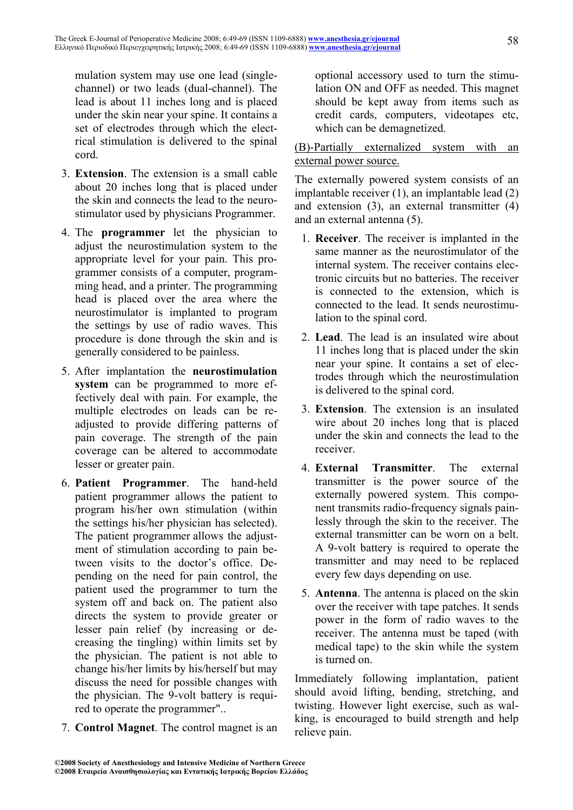mulation system may use one lead (singlechannel) or two leads (dual-channel). The lead is about 11 inches long and is placed under the skin near your spine. It contains a set of electrodes through which the electrical stimulation is delivered to the spinal cord.

- 3. **Extension**. The extension is a small cable about 20 inches long that is placed under the skin and connects the lead to the neurostimulator used by physicians Programmer.
- 4. The **programmer** let the physician to adjust the neurostimulation system to the appropriate level for your pain. This programmer consists of a computer, programming head, and a printer. The programming head is placed over the area where the neurostimulator is implanted to program the settings by use of radio waves. This procedure is done through the skin and is generally considered to be painless.
- 5. After implantation the **neurostimulation system** can be programmed to more effectively deal with pain. For example, the multiple electrodes on leads can be readjusted to provide differing patterns of pain coverage. The strength of the pain coverage can be altered to accommodate lesser or greater pain.
- 6. **Patient Programmer**. The hand-held patient programmer allows the patient to program his/her own stimulation (within the settings his/her physician has selected). The patient programmer allows the adjustment of stimulation according to pain between visits to the doctor's office. Depending on the need for pain control, the patient used the programmer to turn the system off and back on. The patient also directs the system to provide greater or lesser pain relief (by increasing or decreasing the tingling) within limits set by the physician. The patient is not able to change his/her limits by his/herself but may discuss the need for possible changes with the physician. The 9-volt battery is required to operate the programmer"..
- 7. **Control Magnet**. The control magnet is an

optional accessory used to turn the stimulation ON and OFF as needed. This magnet should be kept away from items such as credit cards, computers, videotapes etc, which can be demagnetized.

(B)-Partially externalized system with an external power source.

The externally powered system consists of an implantable receiver (1), an implantable lead (2) and extension (3), an external transmitter (4) and an external antenna (5).

- 1. **Receiver**. The receiver is implanted in the same manner as the neurostimulator of the internal system. The receiver contains electronic circuits but no batteries. The receiver is connected to the extension, which is connected to the lead. It sends neurostimulation to the spinal cord.
- 2. **Lead**. The lead is an insulated wire about 11 inches long that is placed under the skin near your spine. It contains a set of electrodes through which the neurostimulation is delivered to the spinal cord.
- 3. **Extension**. The extension is an insulated wire about 20 inches long that is placed under the skin and connects the lead to the receiver.
- 4. **External Transmitter**. The external transmitter is the power source of the externally powered system. This component transmits radio-frequency signals painlessly through the skin to the receiver. The external transmitter can be worn on a belt. A 9-volt battery is required to operate the transmitter and may need to be replaced every few days depending on use.
- 5. **Antenna**. The antenna is placed on the skin over the receiver with tape patches. It sends power in the form of radio waves to the receiver. The antenna must be taped (with medical tape) to the skin while the system is turned on.

Immediately following implantation, patient should avoid lifting, bending, stretching, and twisting. However light exercise, such as walking, is encouraged to build strength and help relieve pain.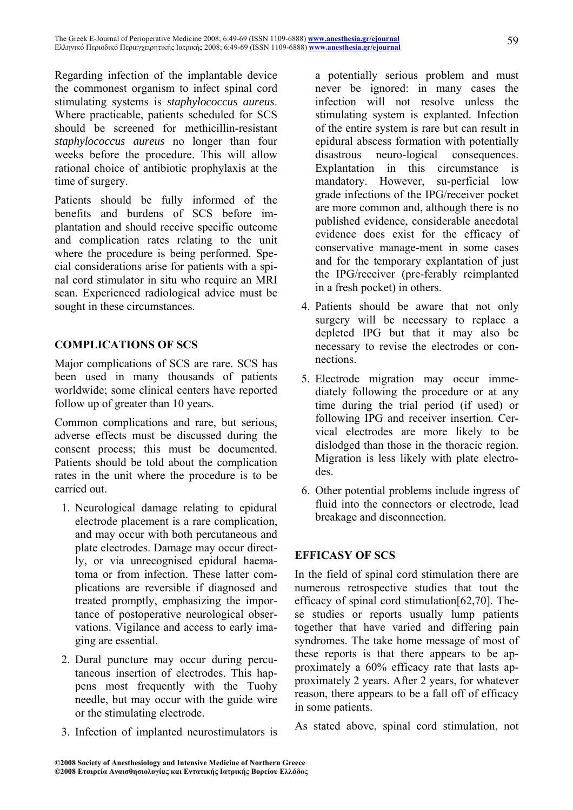Regarding infection of the implantable device the commonest organism to infect spinal cord stimulating systems is *staphylococcus aureus*. Where practicable, patients scheduled for SCS should be screened for methicillin-resistant *staphylococcus aureus* no longer than four weeks before the procedure. This will allow rational choice of antibiotic prophylaxis at the time of surgery.

Patients should be fully informed of the benefits and burdens of SCS before implantation and should receive specific outcome and complication rates relating to the unit where the procedure is being performed. Special considerations arise for patients with a spinal cord stimulator in situ who require an MRI scan. Experienced radiological advice must be sought in these circumstances.

#### **COMPLICATIONS OF SCS**

Major complications of SCS are rare. SCS has been used in many thousands of patients worldwide; some clinical centers have reported follow up of greater than 10 years.

Common complications and rare, but serious, adverse effects must be discussed during the consent process; this must be documented. Patients should be told about the complication rates in the unit where the procedure is to be carried out.

- 1. Neurological damage relating to epidural electrode placement is a rare complication, and may occur with both percutaneous and plate electrodes. Damage may occur directly, or via unrecognised epidural haematoma or from infection. These latter complications are reversible if diagnosed and treated promptly, emphasizing the importance of postoperative neurological observations. Vigilance and access to early imaging are essential.
- 2. Dural puncture may occur during percutaneous insertion of electrodes. This happens most frequently with the Tuohy needle, but may occur with the guide wire or the stimulating electrode.
- 3. Infection of implanted neurostimulators is

a potentially serious problem and must never be ignored: in many cases the infection will not resolve unless the stimulating system is explanted. Infection of the entire system is rare but can result in epidural abscess formation with potentially disastrous neuro-logical consequences. Explantation in this circumstance is mandatory. However, su-perficial low grade infections of the IPG/receiver pocket are more common and, although there is no published evidence, considerable anecdotal evidence does exist for the efficacy of conservative manage-ment in some cases and for the temporary explantation of just the IPG/receiver (pre-ferably reimplanted in a fresh pocket) in others.

- 4. Patients should be aware that not only surgery will be necessary to replace a depleted IPG but that it may also be necessary to revise the electrodes or connections.
- 5. Electrode migration may occur immediately following the procedure or at any time during the trial period (if used) or following IPG and receiver insertion. Cervical electrodes are more likely to be dislodged than those in the thoracic region. Migration is less likely with plate electrodes.
- 6. Other potential problems include ingress of fluid into the connectors or electrode, lead breakage and disconnection.

## **EFFICASY OF SCS**

In the field of spinal cord stimulation there are numerous retrospective studies that tout the efficacy of spinal cord stimulation[62,70]. These studies or reports usually lump patients together that have varied and differing pain syndromes. The take home message of most of these reports is that there appears to be approximately a 60% efficacy rate that lasts approximately 2 years. After 2 years, for whatever reason, there appears to be a fall off of efficacy in some patients.

As stated above, spinal cord stimulation, not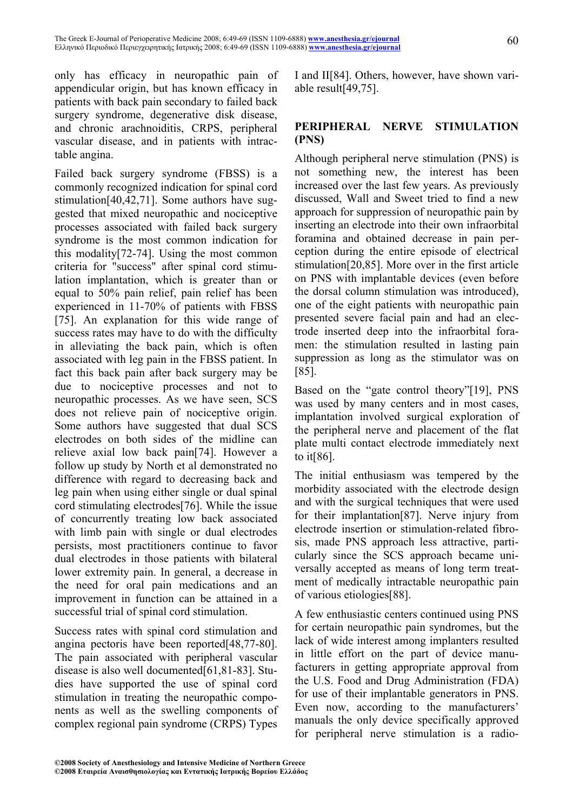only has efficacy in neuropathic pain of appendicular origin, but has known efficacy in patients with back pain secondary to failed back surgery syndrome, degenerative disk disease, and chronic arachnoiditis, CRPS, peripheral vascular disease, and in patients with intractable angina.

Failed back surgery syndrome (FBSS) is a commonly recognized indication for spinal cord stimulation[40,42,71]. Some authors have suggested that mixed neuropathic and nociceptive processes associated with failed back surgery syndrome is the most common indication for this modality[72-74]. Using the most common criteria for "success" after spinal cord stimulation implantation, which is greater than or equal to 50% pain relief, pain relief has been experienced in 11-70% of patients with FBSS [75]. An explanation for this wide range of success rates may have to do with the difficulty in alleviating the back pain, which is often associated with leg pain in the FBSS patient. In fact this back pain after back surgery may be due to nociceptive processes and not to neuropathic processes. As we have seen, SCS does not relieve pain of nociceptive origin. Some authors have suggested that dual SCS electrodes on both sides of the midline can relieve axial low back pain[74]. However a follow up study by North et al demonstrated no difference with regard to decreasing back and leg pain when using either single or dual spinal cord stimulating electrodes[76]. While the issue of concurrently treating low back associated with limb pain with single or dual electrodes persists, most practitioners continue to favor dual electrodes in those patients with bilateral lower extremity pain. In general, a decrease in the need for oral pain medications and an improvement in function can be attained in a successful trial of spinal cord stimulation.

Success rates with spinal cord stimulation and angina pectoris have been reported[48,77-80]. The pain associated with peripheral vascular disease is also well documented[61,81-83]. Studies have supported the use of spinal cord stimulation in treating the neuropathic components as well as the swelling components of complex regional pain syndrome (CRPS) Types I and II[84]. Others, however, have shown variable result[49,75].

#### **PERIPHERAL NERVE STIMULATION (PNS)**

Although peripheral nerve stimulation (PNS) is not something new, the interest has been increased over the last few years. As previously discussed, Wall and Sweet tried to find a new approach for suppression of neuropathic pain by inserting an electrode into their own infraorbital foramina and obtained decrease in pain perception during the entire episode of electrical stimulation[20,85]. More over in the first article on PNS with implantable devices (even before the dorsal column stimulation was introduced), one of the eight patients with neuropathic pain presented severe facial pain and had an electrode inserted deep into the infraorbital foramen: the stimulation resulted in lasting pain suppression as long as the stimulator was on [85].

Based on the "gate control theory"[19], PNS was used by many centers and in most cases, implantation involved surgical exploration of the peripheral nerve and placement of the flat plate multi contact electrode immediately next to it[86].

The initial enthusiasm was tempered by the morbidity associated with the electrode design and with the surgical techniques that were used for their implantation[87]. Nerve injury from electrode insertion or stimulation-related fibrosis, made PNS approach less attractive, particularly since the SCS approach became universally accepted as means of long term treatment of medically intractable neuropathic pain of various etiologies[88].

A few enthusiastic centers continued using PNS for certain neuropathic pain syndromes, but the lack of wide interest among implanters resulted in little effort on the part of device manufacturers in getting appropriate approval from the U.S. Food and Drug Administration (FDA) for use of their implantable generators in PNS. Even now, according to the manufacturers' manuals the only device specifically approved for peripheral nerve stimulation is a radio-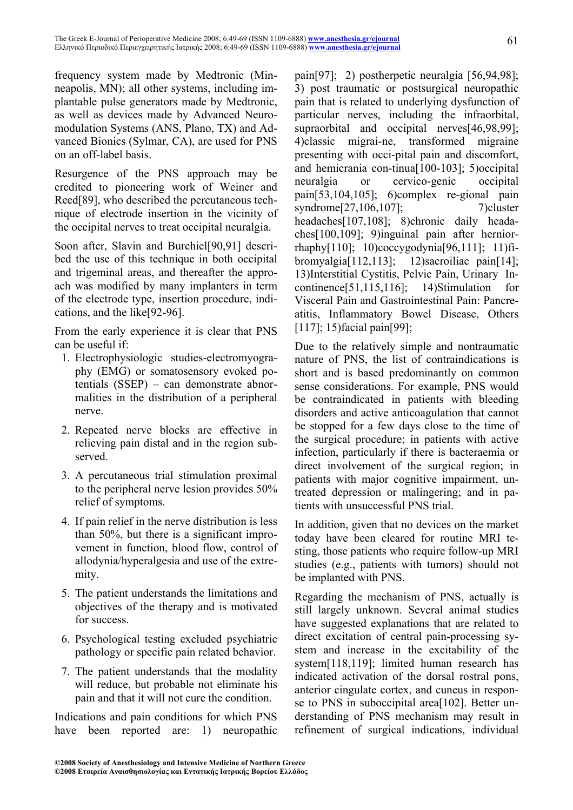frequency system made by Medtronic (Minneapolis, MN); all other systems, including implantable pulse generators made by Medtronic, as well as devices made by Advanced Neuromodulation Systems (ANS, Plano, TX) and Advanced Bionics (Sylmar, CA), are used for PNS on an off-label basis.

Resurgence of the PNS approach may be credited to pioneering work of Weiner and Reed[89], who described the percutaneous technique of electrode insertion in the vicinity of the occipital nerves to treat occipital neuralgia.

Soon after, Slavin and Burchiel[90,91] described the use of this technique in both occipital and trigeminal areas, and thereafter the approach was modified by many implanters in term of the electrode type, insertion procedure, indications, and the like[92-96].

From the early experience it is clear that PNS can be useful if:

- 1. Electrophysiologic studies-electromyography (EMG) or somatosensory evoked potentials (SSEP) – can demonstrate abnormalities in the distribution of a peripheral nerve.
- 2. Repeated nerve blocks are effective in relieving pain distal and in the region subserved.
- 3. A percutaneous trial stimulation proximal to the peripheral nerve lesion provides 50% relief of symptoms.
- 4. If pain relief in the nerve distribution is less than 50%, but there is a significant improvement in function, blood flow, control of allodynia/hyperalgesia and use of the extremity.
- 5. The patient understands the limitations and objectives of the therapy and is motivated for success.
- 6. Psychological testing excluded psychiatric pathology or specific pain related behavior.
- 7. The patient understands that the modality will reduce, but probable not eliminate his pain and that it will not cure the condition.

Indications and pain conditions for which PNS have been reported are: 1) neuropathic pain[97]; 2) postherpetic neuralgia [56,94,98]; 3) post traumatic or postsurgical neuropathic pain that is related to underlying dysfunction of particular nerves, including the infraorbital, supraorbital and occipital nerves[46,98,99]; 4)classic migrai-ne, transformed migraine presenting with occi-pital pain and discomfort, and hemicrania con-tinua[100-103]; 5)occipital neuralgia or cervico-genic occipital pain[53,104,105]; 6)complex re-gional pain syndrome[27,106,107]; 7)cluster headaches[107,108]; 8)chronic daily headaches[100,109]; 9)inguinal pain after herniorrhaphy[110]; 10)coccygodynia[96,111]; 11)fibromyalgia[112,113]; 12)sacroiliac pain[14]; 13)Interstitial Cystitis, Pelvic Pain, Urinary Incontinence[51,115,116]; 14)Stimulation for Visceral Pain and Gastrointestinal Pain: Pancreatitis, Inflammatory Bowel Disease, Others [117]; 15) facial pain [99];

Due to the relatively simple and nontraumatic nature of PNS, the list of contraindications is short and is based predominantly on common sense considerations. For example, PNS would be contraindicated in patients with bleeding disorders and active anticoagulation that cannot be stopped for a few days close to the time of the surgical procedure; in patients with active infection, particularly if there is bacteraemia or direct involvement of the surgical region; in patients with major cognitive impairment, untreated depression or malingering; and in patients with unsuccessful PNS trial.

In addition, given that no devices on the market today have been cleared for routine MRI testing, those patients who require follow-up MRI studies (e.g., patients with tumors) should not be implanted with PNS.

Regarding the mechanism of PNS, actually is still largely unknown. Several animal studies have suggested explanations that are related to direct excitation of central pain-processing system and increase in the excitability of the system[118,119]; limited human research has indicated activation of the dorsal rostral pons, anterior cingulate cortex, and cuneus in response to PNS in suboccipital area[102]. Better understanding of PNS mechanism may result in refinement of surgical indications, individual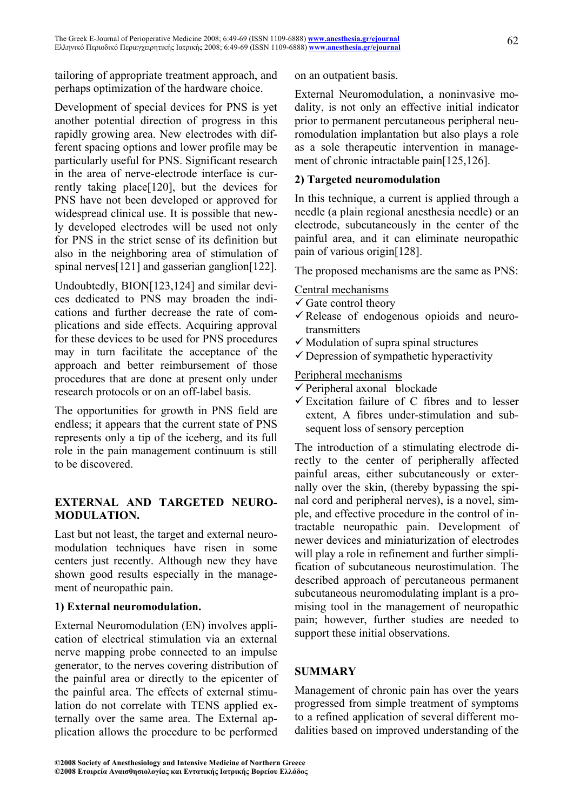tailoring of appropriate treatment approach, and perhaps optimization of the hardware choice.

Development of special devices for PNS is yet another potential direction of progress in this rapidly growing area. New electrodes with different spacing options and lower profile may be particularly useful for PNS. Significant research in the area of nerve-electrode interface is currently taking place[120], but the devices for PNS have not been developed or approved for widespread clinical use. It is possible that newly developed electrodes will be used not only for PNS in the strict sense of its definition but also in the neighboring area of stimulation of spinal nerves<sup>[121]</sup> and gasserian ganglion<sup>[122]</sup>.

Undoubtedly, BION[123,124] and similar devices dedicated to PNS may broaden the indications and further decrease the rate of complications and side effects. Acquiring approval for these devices to be used for PNS procedures may in turn facilitate the acceptance of the approach and better reimbursement of those procedures that are done at present only under research protocols or on an off-label basis.

The opportunities for growth in PNS field are endless; it appears that the current state of PNS represents only a tip of the iceberg, and its full role in the pain management continuum is still to be discovered.

## **EXTERNAL AND TARGETED NEURO-MODULATION.**

Last but not least, the target and external neuromodulation techniques have risen in some centers just recently. Although new they have shown good results especially in the management of neuropathic pain.

#### **1) External neuromodulation.**

External Neuromodulation (EN) involves application of electrical stimulation via an external nerve mapping probe connected to an impulse generator, to the nerves covering distribution of the painful area or directly to the epicenter of the painful area. The effects of external stimulation do not correlate with TENS applied externally over the same area. The External application allows the procedure to be performed on an outpatient basis.

External Neuromodulation, a noninvasive modality, is not only an effective initial indicator prior to permanent percutaneous peripheral neuromodulation implantation but also plays a role as a sole therapeutic intervention in management of chronic intractable pain[125,126].

#### **2) Targeted neuromodulation**

In this technique, a current is applied through a needle (a plain regional anesthesia needle) or an electrode, subcutaneously in the center of the painful area, and it can eliminate neuropathic pain of various origin[128].

The proposed mechanisms are the same as PNS:

#### Central mechanisms

- $\checkmark$  Gate control theory
- $\checkmark$  Release of endogenous opioids and neurotransmitters
- $\checkmark$  Modulation of supra spinal structures
- $\checkmark$  Depression of sympathetic hyperactivity

#### Peripheral mechanisms

- $\checkmark$  Peripheral axonal blockade
- $\checkmark$  Excitation failure of C fibres and to lesser extent, A fibres under-stimulation and subsequent loss of sensory perception

The introduction of a stimulating electrode directly to the center of peripherally affected painful areas, either subcutaneously or externally over the skin, (thereby bypassing the spinal cord and peripheral nerves), is a novel, simple, and effective procedure in the control of intractable neuropathic pain. Development of newer devices and miniaturization of electrodes will play a role in refinement and further simplification of subcutaneous neurostimulation. The described approach of percutaneous permanent subcutaneous neuromodulating implant is a promising tool in the management of neuropathic pain; however, further studies are needed to support these initial observations.

## **SUMMARY**

Management of chronic pain has over the years progressed from simple treatment of symptoms to a refined application of several different modalities based on improved understanding of the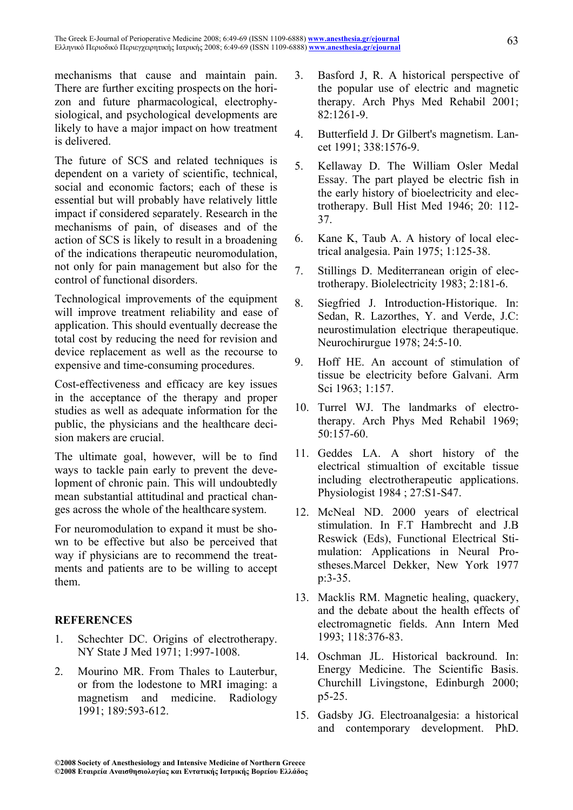mechanisms that cause and maintain pain. There are further exciting prospects on the horizon and future pharmacological, electrophysiological, and psychological developments are likely to have a major impact on how treatment is delivered.

The future of SCS and related techniques is dependent on a variety of scientific, technical, social and economic factors; each of these is essential but will probably have relatively little impact if considered separately. Research in the mechanisms of pain, of diseases and of the action of SCS is likely to result in a broadening of the indications therapeutic neuromodulation, not only for pain management but also for the control of functional disorders.

Technological improvements of the equipment will improve treatment reliability and ease of application. This should eventually decrease the total cost by reducing the need for revision and device replacement as well as the recourse to expensive and time-consuming procedures.

Cost-effectiveness and efficacy are key issues in the acceptance of the therapy and proper studies as well as adequate information for the public, the physicians and the healthcare decision makers are crucial.

The ultimate goal, however, will be to find ways to tackle pain early to prevent the development of chronic pain. This will undoubtedly mean substantial attitudinal and practical changes across the whole of the healthcare system.

For neuromodulation to expand it must be shown to be effective but also be perceived that way if physicians are to recommend the treatments and patients are to be willing to accept them.

## **REFERENCES**

- 1. Schechter DC. Origins of electrotherapy. NY State J Med 1971; 1:997-1008.
- 2. Mourino MR. From Thales to Lauterbur, or from the lodestone to MRI imaging: a magnetism and medicine. Radiology 1991; 189:593-612.
- 3. Basford J, R. A historical perspective of the popular use of electric and magnetic therapy. Arch Phys Med Rehabil 2001; 82:1261-9.
- 4. Butterfield J. Dr Gilbert's magnetism. Lancet 1991; 338:1576-9.
- 5. Kellaway D. The William Osler Medal Essay. The part played be electric fish in the early history of bioelectricity and electrotherapy. Bull Hist Med 1946; 20: 112- 37.
- 6. Kane K, Taub A. A history of local electrical analgesia. Pain 1975; 1:125-38.
- 7. Stillings D. Mediterranean origin of electrotherapy. Biolelectricity 1983; 2:181-6.
- 8. Siegfried J. Introduction-Historique. In: Sedan, R. Lazorthes, Y. and Verde, J.C: neurostimulation electrique therapeutique. Neurochirurgue 1978; 24:5-10.
- 9. Hoff HE. An account of stimulation of tissue be electricity before Galvani. Arm Sci 1963; 1:157.
- 10. Turrel WJ. The landmarks of electrotherapy. Arch Phys Med Rehabil 1969; 50:157-60.
- 11. Geddes LA. A short history of the electrical stimualtion of excitable tissue including electrotherapeutic applications. Physiologist 1984 ; 27:S1-S47.
- 12. McNeal ND. 2000 years of electrical stimulation. In F.T Hambrecht and J.B Reswick (Eds), Functional Electrical Stimulation: Applications in Neural Prostheses.Marcel Dekker, New York 1977 p:3-35.
- 13. Macklis RM. Magnetic healing, quackery, and the debate about the health effects of electromagnetic fields. Ann Intern Med 1993; 118:376-83.
- 14. Oschman JL. Historical backround. In: Energy Medicine. The Scientific Basis. Churchill Livingstone, Edinburgh 2000; p5-25.
- 15. Gadsby JG. Electroanalgesia: a historical and contemporary development. PhD.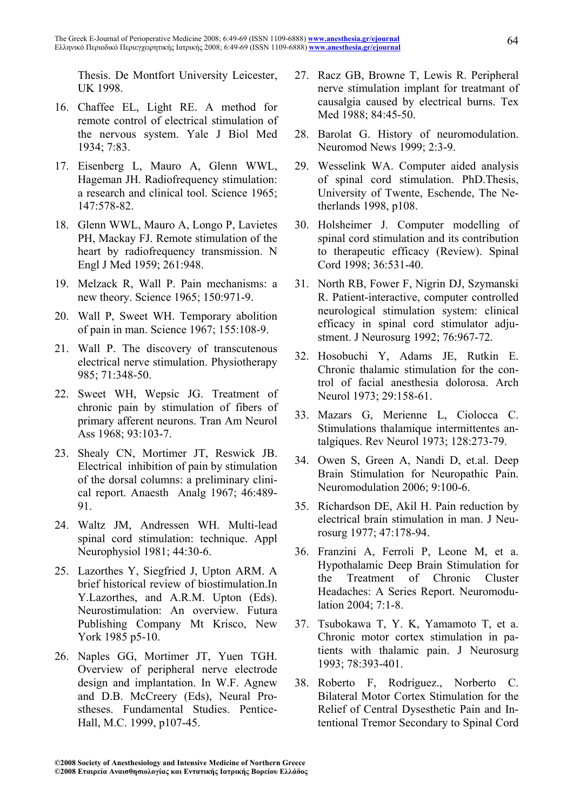Thesis. De Montfort University Leicester, UK 1998.

- 16. Chaffee EL, Light RE. A method for remote control of electrical stimulation of the nervous system. Yale J Biol Med 1934; 7:83.
- 17. Eisenberg L, Mauro A, Glenn WWL, Hageman JH. Radiofrequency stimulation: a research and clinical tool. Science 1965; 147:578-82.
- 18. Glenn WWL, Mauro A, Longo P, Lavietes PH, Mackay FJ. Remote stimulation of the heart by radiofrequency transmission. N Engl J Med 1959; 261:948.
- 19. Melzack R, Wall P. Pain mechanisms: a new theory. Science 1965; 150:971-9.
- 20. Wall P, Sweet WH. Temporary abolition of pain in man. Science 1967; 155:108-9.
- 21. Wall P. The discovery of transcutenous electrical nerve stimulation. Physiotherapy 985; 71:348-50.
- 22. Sweet WH, Wepsic JG. Treatment of chronic pain by stimulation of fibers of primary afferent neurons. Tran Am Neurol Ass 1968; 93:103-7.
- 23. Shealy CN, Mortimer JT, Reswick JB. Electrical inhibition of pain by stimulation of the dorsal columns: a preliminary clinical report. Anaesth Analg 1967; 46:489- 91.
- 24. Waltz JM, Andressen WH. Multi-lead spinal cord stimulation: technique. Appl Neurophysiol 1981; 44:30-6.
- 25. Lazorthes Y, Siegfried J, Upton ARM. A brief historical review of biostimulation.In Y.Lazorthes, and A.R.M. Upton (Eds). Neurostimulation: An overview. Futura Publishing Company Mt Krisco, New York 1985 p5-10.
- 26. Naples GG, Mortimer JT, Yuen TGH. Overview of peripheral nerve electrode design and implantation. In W.F. Agnew and D.B. McCreery (Eds), Neural Prostheses. Fundamental Studies. Pentice-Hall, M.C. 1999, p107-45.
- 27. Racz GB, Browne T, Lewis R. Peripheral nerve stimulation implant for treatmant of causalgia caused by electrical burns. Tex Med 1988; 84:45-50.
- 28. Barolat G. History of neuromodulation. Neuromod News 1999; 2:3-9.
- 29. Wesselink WA. Computer aided analysis of spinal cord stimulation. PhD.Thesis, University of Twente, Eschende, The Netherlands 1998, p108.
- 30. Holsheimer J. Computer modelling of spinal cord stimulation and its contribution to therapeutic efficacy (Review). Spinal Cord 1998; 36:531-40.
- 31. North RB, Fower F, Nigrin DJ, Szymanski R. Patient-interactive, computer controlled neurological stimulation system: clinical efficacy in spinal cord stimulator adjustment. J Neurosurg 1992; 76:967-72.
- 32. Hosobuchi Y, Adams JE, Rutkin E. Chronic thalamic stimulation for the control of facial anesthesia dolorosa. Arch Neurol 1973; 29:158-61.
- 33. Mazars G, Merienne L, Ciolocca C. Stimulations thalamique intermittentes antalgiques. Rev Neurol 1973; 128:273-79.
- 34. Owen S, Green A, Nandi D, et.al. Deep Brain Stimulation for Neuropathic Pain. Neuromodulation 2006; 9:100-6.
- 35. Richardson DE, Akil H. Pain reduction by electrical brain stimulation in man. J Neurosurg 1977; 47:178-94.
- 36. Franzini A, Ferroli P, Leone M, et a. Hypothalamic Deep Brain Stimulation for the Treatment of Chronic Cluster Headaches: A Series Report. Neuromodulation 2004; 7:1-8.
- 37. Tsubokawa T, Y. K, Yamamoto T, et a. Chronic motor cortex stimulation in patients with thalamic pain. J Neurosurg 1993; 78:393-401.
- 38. Roberto F, Rodríguez., Norberto C. Bilateral Motor Cortex Stimulation for the Relief of Central Dysesthetic Pain and Intentional Tremor Secondary to Spinal Cord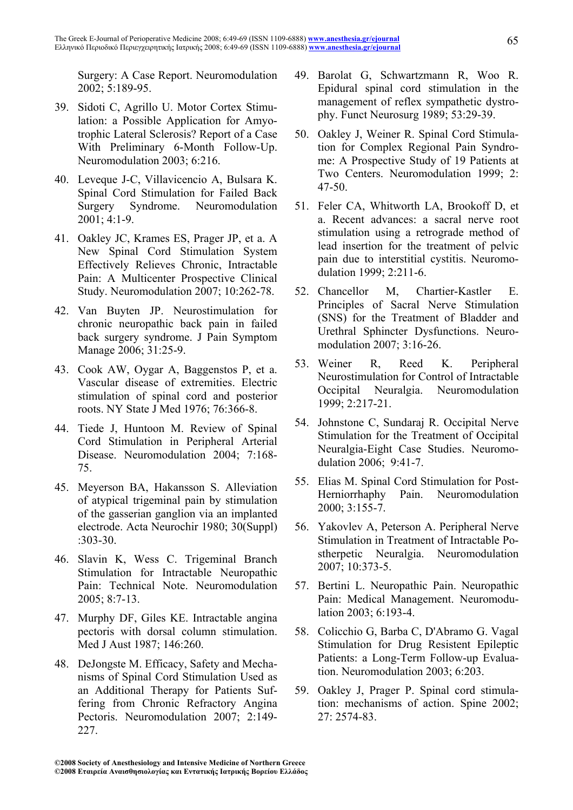Surgery: A Case Report. Neuromodulation 2002; 5:189-95.

- 39. Sidoti C, Agrillo U. Motor Cortex Stimulation: a Possible Application for Amyotrophic Lateral Sclerosis? Report of a Case With Preliminary 6-Month Follow-Up. Neuromodulation 2003; 6:216.
- 40. Leveque J-C, Villavicencio A, Bulsara K. Spinal Cord Stimulation for Failed Back Surgery Syndrome. Neuromodulation 2001; 4:1-9.
- 41. Oakley JC, Krames ES, Prager JP, et a. A New Spinal Cord Stimulation System Effectively Relieves Chronic, Intractable Pain: A Multicenter Prospective Clinical Study. Neuromodulation 2007; 10:262-78.
- 42. Van Buyten JP. Neurostimulation for chronic neuropathic back pain in failed back surgery syndrome. J Pain Symptom Manage 2006; 31:25-9.
- 43. Cook AW, Oygar A, Baggenstos P, et a. Vascular disease of extremities. Electric stimulation of spinal cord and posterior roots. NY State J Med 1976; 76:366-8.
- 44. Tiede J, Huntoon M. Review of Spinal Cord Stimulation in Peripheral Arterial Disease. Neuromodulation 2004; 7:168- 75.
- 45. Meyerson BA, Hakansson S. Alleviation of atypical trigeminal pain by stimulation of the gasserian ganglion via an implanted electrode. Acta Neurochir 1980; 30(Suppl) :303-30.
- 46. Slavin K, Wess C. Trigeminal Branch Stimulation for Intractable Neuropathic Pain: Technical Note. Neuromodulation 2005; 8:7-13.
- 47. Murphy DF, Giles KE. Intractable angina pectoris with dorsal column stimulation. Med J Aust 1987; 146:260.
- 48. DeJongste M. Efficacy, Safety and Mechanisms of Spinal Cord Stimulation Used as an Additional Therapy for Patients Suffering from Chronic Refractory Angina Pectoris. Neuromodulation 2007; 2:149- 227.
- 49. Barolat G, Schwartzmann R, Woo R. Epidural spinal cord stimulation in the management of reflex sympathetic dystrophy. Funct Neurosurg 1989; 53:29-39.
- 50. Oakley J, Weiner R. Spinal Cord Stimulation for Complex Regional Pain Syndrome: A Prospective Study of 19 Patients at Two Centers. Neuromodulation 1999; 2: 47-50.
- 51. Feler CA, Whitworth LA, Brookoff D, et a. Recent advances: a sacral nerve root stimulation using a retrograde method of lead insertion for the treatment of pelvic pain due to interstitial cystitis. Neuromodulation 1999; 2:211-6.
- 52. Chancellor M, Chartier-Kastler E. Principles of Sacral Nerve Stimulation (SNS) for the Treatment of Bladder and Urethral Sphincter Dysfunctions. Neuromodulation 2007; 3:16-26.
- 53. Weiner R, Reed K. Peripheral Neurostimulation for Control of Intractable Occipital Neuralgia. Neuromodulation 1999; 2:217-21.
- 54. Johnstone C, Sundaraj R. Occipital Nerve Stimulation for the Treatment of Occipital Neuralgia-Eight Case Studies. Neuromodulation 2006; 9:41-7.
- 55. Elias M. Spinal Cord Stimulation for Post-Herniorrhaphy Pain. Neuromodulation 2000; 3:155-7.
- 56. Yakovlev A, Peterson A. Peripheral Nerve Stimulation in Treatment of Intractable Postherpetic Neuralgia. Neuromodulation 2007; 10:373-5.
- 57. Bertini L. Neuropathic Pain. Neuropathic Pain: Medical Management. Neuromodulation 2003; 6:193-4.
- 58. Colicchio G, Barba C, D'Abramo G. Vagal Stimulation for Drug Resistent Epileptic Patients: a Long-Term Follow-up Evaluation. Neuromodulation 2003; 6:203.
- 59. Oakley J, Prager P. Spinal cord stimulation: mechanisms of action. Spine 2002; 27: 2574-83.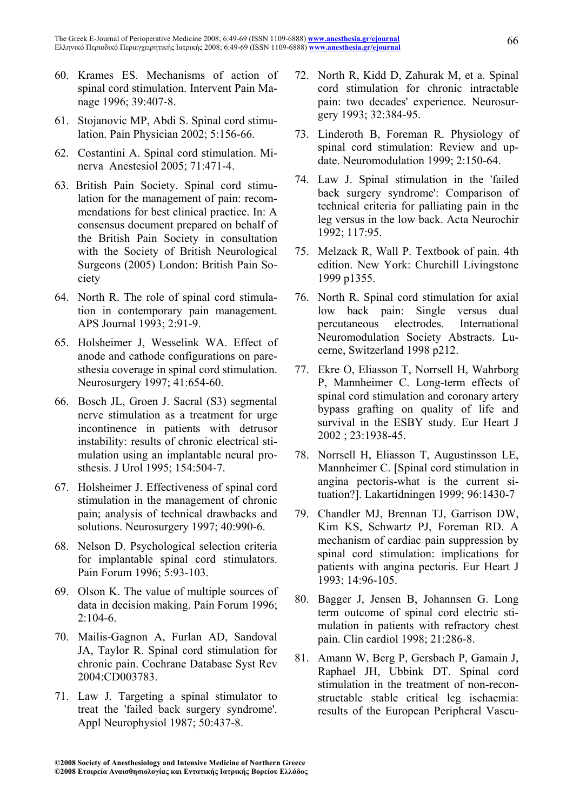- 60. Krames ES. Mechanisms of action of spinal cord stimulation. Intervent Pain Manage 1996; 39:407-8.
- 61. Stojanovic MP, Abdi S. Spinal cord stimulation. Pain Physician 2002; 5:156-66.
- 62. Costantini A. Spinal cord stimulation. Minerva Anestesiol 2005; 71:471-4.
- 63. British Pain Society. Spinal cord stimulation for the management of pain: recommendations for best clinical practice. In: A consensus document prepared on behalf of the British Pain Society in consultation with the Society of British Neurological Surgeons (2005) London: British Pain Society
- 64. North R. The role of spinal cord stimulation in contemporary pain management. APS Journal 1993; 2:91-9.
- 65. Holsheimer J, Wesselink WA. Effect of anode and cathode configurations on paresthesia coverage in spinal cord stimulation. Neurosurgery 1997; 41:654-60.
- 66. Bosch JL, Groen J. Sacral (S3) segmental nerve stimulation as a treatment for urge incontinence in patients with detrusor instability: results of chronic electrical stimulation using an implantable neural prosthesis. J Urol 1995; 154:504-7.
- 67. Holsheimer J. Effectiveness of spinal cord stimulation in the management of chronic pain; analysis of technical drawbacks and solutions. Neurosurgery 1997; 40:990-6.
- 68. Nelson D. Psychological selection criteria for implantable spinal cord stimulators. Pain Forum 1996; 5:93-103.
- 69. Olson K. The value of multiple sources of data in decision making. Pain Forum 1996;  $2.104-6$
- 70. Mailis-Gagnon A, Furlan AD, Sandoval JA, Taylor R. Spinal cord stimulation for chronic pain. Cochrane Database Syst Rev 2004:CD003783.
- 71. Law J. Targeting a spinal stimulator to treat the 'failed back surgery syndrome'. Appl Neurophysiol 1987; 50:437-8.
- 72. North R, Kidd D, Zahurak M, et a. Spinal cord stimulation for chronic intractable pain: two decades' experience. Neurosurgery 1993; 32:384-95.
- 73. Linderoth B, Foreman R. Physiology of spinal cord stimulation: Review and update. Neuromodulation 1999; 2:150-64.
- 74. Law J. Spinal stimulation in the 'failed back surgery syndrome': Comparison of technical criteria for palliating pain in the leg versus in the low back. Acta Neurochir 1992; 117:95.
- 75. Melzack R, Wall P. Textbook of pain. 4th edition. New York: Churchill Livingstone 1999 p1355.
- 76. North R. Spinal cord stimulation for axial low back pain: Single versus dual percutaneous electrodes. International Neuromodulation Society Abstracts. Lucerne, Switzerland 1998 p212.
- 77. Ekre O, Eliasson T, Norrsell H, Wahrborg P, Mannheimer C. Long-term effects of spinal cord stimulation and coronary artery bypass grafting on quality of life and survival in the ESBY study. Eur Heart J 2002 ; 23:1938-45.
- 78. Norrsell H, Eliasson T, Augustinsson LE, Mannheimer C. [Spinal cord stimulation in angina pectoris-what is the current situation?]. Lakartidningen 1999; 96:1430-7
- 79. Chandler MJ, Brennan TJ, Garrison DW, Kim KS, Schwartz PJ, Foreman RD. A mechanism of cardiac pain suppression by spinal cord stimulation: implications for patients with angina pectoris. Eur Heart J 1993; 14:96-105.
- 80. Bagger J, Jensen B, Johannsen G. Long term outcome of spinal cord electric stimulation in patients with refractory chest pain. Clin cardiol 1998; 21:286-8.
- 81. Amann W, Berg P, Gersbach P, Gamain J, Raphael JH, Ubbink DT. Spinal cord stimulation in the treatment of non-reconstructable stable critical leg ischaemia: results of the European Peripheral Vascu-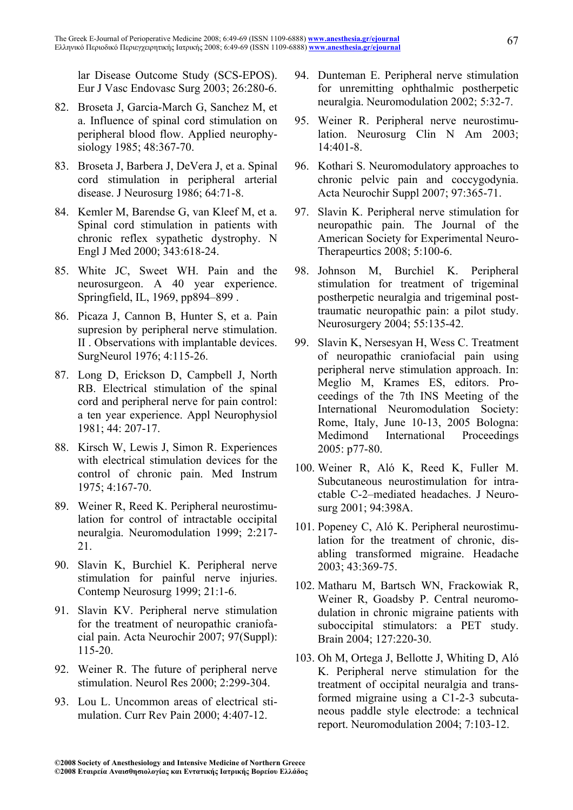lar Disease Outcome Study (SCS-EPOS). Eur J Vasc Endovasc Surg 2003; 26:280-6.

- 82. Broseta J, Garcia-March G, Sanchez M, et a. Influence of spinal cord stimulation on peripheral blood flow. Applied neurophysiology 1985; 48:367-70.
- 83. Broseta J, Barbera J, DeVera J, et a. Spinal cord stimulation in peripheral arterial disease. J Neurosurg 1986; 64:71-8.
- 84. Kemler M, Barendse G, van Kleef M, et a. Spinal cord stimulation in patients with chronic reflex sypathetic dystrophy. N Engl J Med 2000; 343:618-24.
- 85. White JC, Sweet WH. Pain and the neurosurgeon. A 40 year experience. Springfield, IL, 1969, pp894–899 .
- 86. Picaza J, Cannon B, Hunter S, et a. Pain supresion by peripheral nerve stimulation. II . Observations with implantable devices. SurgNeurol 1976; 4:115-26.
- 87. Long D, Erickson D, Campbell J, North RB. Electrical stimulation of the spinal cord and peripheral nerve for pain control: a ten year experience. Appl Neurophysiol 1981; 44: 207-17.
- 88. Kirsch W, Lewis J, Simon R. Experiences with electrical stimulation devices for the control of chronic pain. Med Instrum 1975; 4:167-70.
- 89. Weiner R, Reed K. Peripheral neurostimulation for control of intractable occipital neuralgia. Neuromodulation 1999; 2:217- 21.
- 90. Slavin K, Burchiel K. Peripheral nerve stimulation for painful nerve injuries. Contemp Neurosurg 1999; 21:1-6.
- 91. Slavin KV. Peripheral nerve stimulation for the treatment of neuropathic craniofacial pain. Acta Neurochir 2007; 97(Suppl): 115-20.
- 92. Weiner R. The future of peripheral nerve stimulation. Neurol Res 2000; 2:299-304.
- 93. Lou L. Uncommon areas of electrical stimulation. Curr Rev Pain 2000; 4:407-12.
- 94. Dunteman E. Peripheral nerve stimulation for unremitting ophthalmic postherpetic neuralgia. Neuromodulation 2002; 5:32-7.
- 95. Weiner R. Peripheral nerve neurostimulation. Neurosurg Clin N Am 2003; 14:401-8.
- 96. Kothari S. Neuromodulatory approaches to chronic pelvic pain and coccygodynia. Acta Neurochir Suppl 2007; 97:365-71.
- 97. Slavin K. Peripheral nerve stimulation for neuropathic pain. The Journal of the American Society for Experimental Neuro-Therapeurtics 2008; 5:100-6.
- 98. Johnson M, Burchiel K. Peripheral stimulation for treatment of trigeminal postherpetic neuralgia and trigeminal posttraumatic neuropathic pain: a pilot study. Neurosurgery 2004; 55:135-42.
- 99. Slavin K, Nersesyan H, Wess C. Treatment of neuropathic craniofacial pain using peripheral nerve stimulation approach. In: Meglio M, Krames ES, editors. Proceedings of the 7th INS Meeting of the International Neuromodulation Society: Rome, Italy, June 10-13, 2005 Bologna: Medimond International Proceedings 2005: p77-80.
- 100. Weiner R, Aló K, Reed K, Fuller M. Subcutaneous neurostimulation for intractable C-2–mediated headaches. J Neurosurg 2001; 94:398A.
- 101. Popeney C, Aló K. Peripheral neurostimulation for the treatment of chronic, disabling transformed migraine. Headache 2003; 43:369-75.
- 102. Matharu M, Bartsch WN, Frackowiak R, Weiner R, Goadsby P. Central neuromodulation in chronic migraine patients with suboccipital stimulators: a PET study. Brain 2004; 127:220-30.
- 103. Oh M, Ortega J, Bellotte J, Whiting D, Aló K. Peripheral nerve stimulation for the treatment of occipital neuralgia and transformed migraine using a C1-2-3 subcutaneous paddle style electrode: a technical report. Neuromodulation 2004; 7:103-12.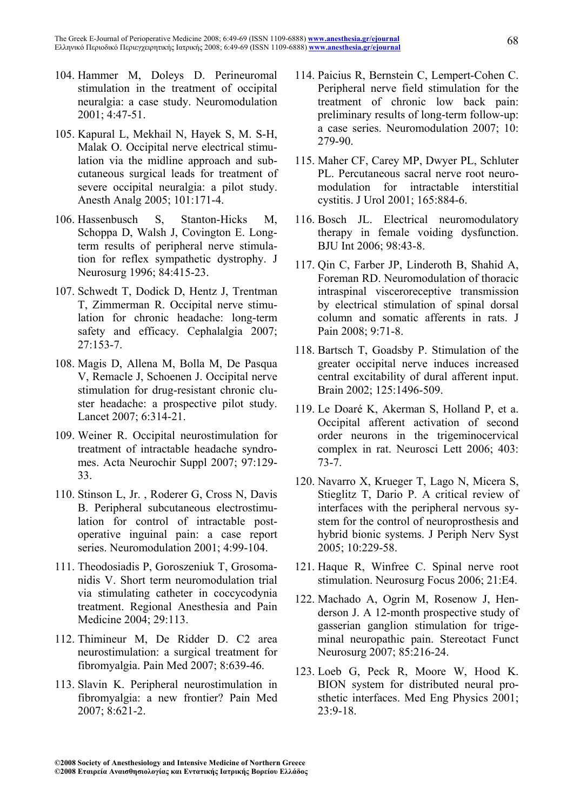- 104. Hammer M, Doleys D. Perineuromal stimulation in the treatment of occipital neuralgia: a case study. Neuromodulation 2001; 4:47-51.
- 105. Kapural L, Mekhail N, Hayek S, M. S-H, Malak O. Occipital nerve electrical stimulation via the midline approach and subcutaneous surgical leads for treatment of severe occipital neuralgia: a pilot study. Anesth Analg 2005; 101:171-4.
- 106. Hassenbusch S, Stanton-Hicks M, Schoppa D, Walsh J, Covington E. Longterm results of peripheral nerve stimulation for reflex sympathetic dystrophy. J Neurosurg 1996; 84:415-23.
- 107. Schwedt T, Dodick D, Hentz J, Trentman T, Zimmerman R. Occipital nerve stimulation for chronic headache: long-term safety and efficacy. Cephalalgia 2007; 27:153-7.
- 108. Magis D, Allena M, Bolla M, De Pasqua V, Remacle J, Schoenen J. Occipital nerve stimulation for drug-resistant chronic cluster headache: a prospective pilot study. Lancet 2007; 6:314-21.
- 109. Weiner R. Occipital neurostimulation for treatment of intractable headache syndromes. Acta Neurochir Suppl 2007; 97:129- 33.
- 110. Stinson L, Jr. , Roderer G, Cross N, Davis B. Peripheral subcutaneous electrostimulation for control of intractable postoperative inguinal pain: a case report series. Neuromodulation 2001; 4:99-104.
- 111. Theodosiadis P, Goroszeniuk T, Grosomanidis V. Short term neuromodulation trial via stimulating catheter in coccycodynia treatment. Regional Anesthesia and Pain Medicine 2004; 29:113.
- 112. Thimineur M, De Ridder D. C2 area neurostimulation: a surgical treatment for fibromyalgia. Pain Med 2007; 8:639-46.
- 113. Slavin K. Peripheral neurostimulation in fibromyalgia: a new frontier? Pain Med 2007; 8:621-2.
- 114. Paicius R, Bernstein C, Lempert-Cohen C. Peripheral nerve field stimulation for the treatment of chronic low back pain: preliminary results of long-term follow-up: a case series. Neuromodulation 2007; 10: 279-90.
- 115. Maher CF, Carey MP, Dwyer PL, Schluter PL. Percutaneous sacral nerve root neuromodulation for intractable interstitial cystitis. J Urol 2001; 165:884-6.
- 116. Bosch JL. Electrical neuromodulatory therapy in female voiding dysfunction. BJU Int 2006; 98:43-8.
- 117. Qin C, Farber JP, Linderoth B, Shahid A, Foreman RD. Neuromodulation of thoracic intraspinal visceroreceptive transmission by electrical stimulation of spinal dorsal column and somatic afferents in rats. J Pain 2008; 9:71-8.
- 118. Bartsch T, Goadsby P. Stimulation of the greater occipital nerve induces increased central excitability of dural afferent input. Brain 2002; 125:1496-509.
- 119. Le Doaré K, Akerman S, Holland P, et a. Occipital afferent activation of second order neurons in the trigeminocervical complex in rat. Neurosci Lett 2006; 403: 73-7.
- 120. Navarro X, Krueger T, Lago N, Micera S, Stieglitz T, Dario P. A critical review of interfaces with the peripheral nervous system for the control of neuroprosthesis and hybrid bionic systems. J Periph Nerv Syst 2005; 10:229-58.
- 121. Haque R, Winfree C. Spinal nerve root stimulation. Neurosurg Focus 2006; 21:E4.
- 122. Machado A, Ogrin M, Rosenow J, Henderson J. A 12-month prospective study of gasserian ganglion stimulation for trigeminal neuropathic pain. Stereotact Funct Neurosurg 2007; 85:216-24.
- 123. Loeb G, Peck R, Moore W, Hood K. BION system for distributed neural prosthetic interfaces. Med Eng Physics 2001; 23:9-18.